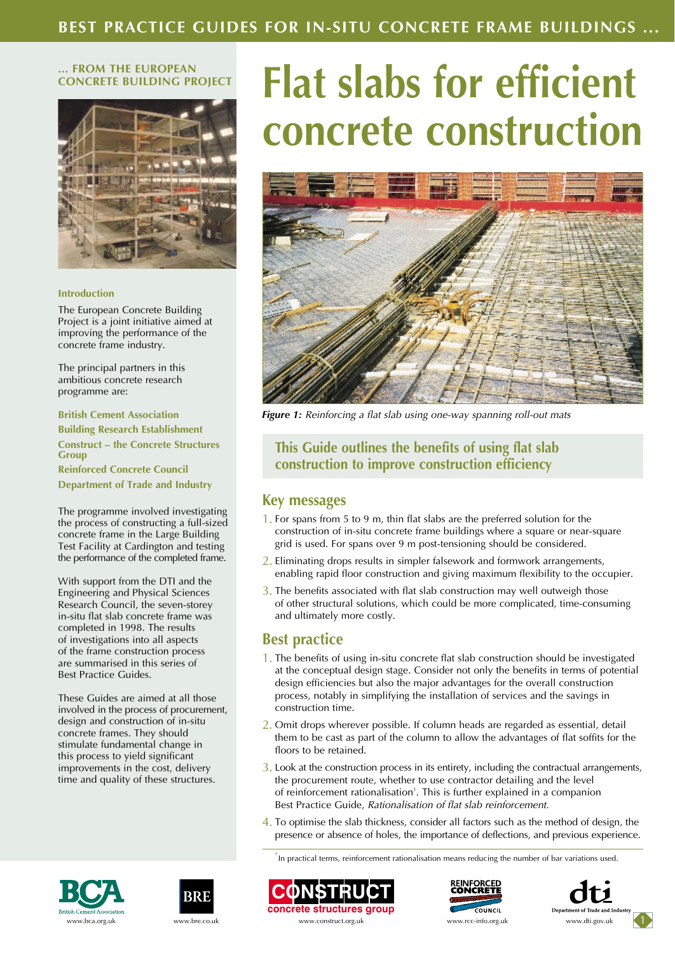#### **... FROM THE EUROPEAN CONCRETE BUILDING PROJECT**



#### **Introduction**

The European Concrete Building Project is a joint initiative aimed at improving the performance of the concrete frame industry.

The principal partners in this ambitious concrete research programme are:

**British Cement Association Building Research Establishment Construct – the Concrete Structures Group Reinforced Concrete Council Department of Trade and Industry**

The programme involved investigating the process of constructing a full-sized concrete frame in the Large Building Test Facility at Cardington and testing the performance of the completed frame.

With support from the DTI and the Engineering and Physical Sciences Research Council, the seven-storey in-situ flat slab concrete frame was completed in 1998. The results of investigations into all aspects of the frame construction process are summarised in this series of Best Practice Guides.

These Guides are aimed at all those involved in the process of procurement, design and construction of in-situ concrete frames. They should stimulate fundamental change in this process to yield significant improvements in the cost, delivery time and quality of these structures.

# **Flat slabs for efficient concrete construction**



*Figure 1: Reinforcing a flat slab using one-way spanning roll-out mats*

## **This Guide outlines the benefits of using flat slab construction to improve construction efficiency**

#### **Key messages**

- 1. For spans from 5 to 9 m, thin flat slabs are the preferred solution for the construction of in-situ concrete frame buildings where a square or near-square grid is used. For spans over 9 m post-tensioning should be considered.
- 2. Eliminating drops results in simpler falsework and formwork arrangements, enabling rapid floor construction and giving maximum flexibility to the occupier.
- 3. The benefits associated with flat slab construction may well outweigh those of other structural solutions, which could be more complicated, time-consuming and ultimately more costly.

## **Best practice**

- 1. The benefits of using in-situ concrete flat slab construction should be investigated at the conceptual design stage. Consider not only the benefits in terms of potential design efficiencies but also the major advantages for the overall construction process, notably in simplifying the installation of services and the savings in construction time.
- 2. Omit drops wherever possible. If column heads are regarded as essential, detail them to be cast as part of the column to allow the advantages of flat soffits for the floors to be retained.
- 3. Look at the construction process in its entirety, including the contractual arrangements, the procurement route, whether to use contractor detailing and the level of reinforcement rationalisation<sup>1</sup>. This is further explained in a companion Best Practice Guide, *Rationalisation of flat slab reinforcement.*
- 4. To optimise the slab thickness, consider all factors such as the method of design, the presence or absence of holes, the importance of deflections, and previous experience.

<sup>1</sup> In practical terms, reinforcement rationalisation means reducing the number of bar variations used.











www.bca.org.uk www.bre.co.uk www.construct.org.uk www.rcc-info.org.uk www.dti.gov.uk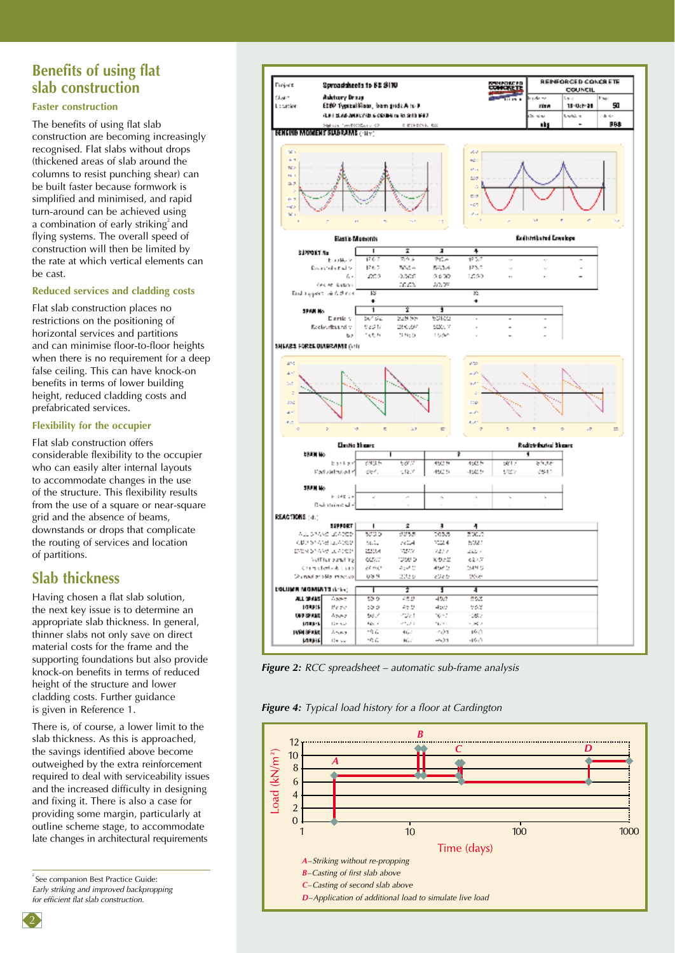# **Benefits of using flat slab construction**

#### **Faster construction**

The benefits of using flat slab construction are becoming increasingly recognised. Flat slabs without drops (thickened areas of slab around the columns to resist punching shear) can be built faster because formwork is simplified and minimised, and rapid turn-around can be achieved using a combination of early striking<sup>2</sup> and flying systems. The overall speed of construction will then be limited by the rate at which vertical elements can be cast.

#### **Reduced services and cladding costs**

Flat slab construction places no restrictions on the positioning of horizontal services and partitions and can minimise floor-to-floor heights when there is no requirement for a deep false ceiling. This can have knock-on benefits in terms of lower building height, reduced cladding costs and prefabricated services.

#### **Flexibility for the occupier**

Flat slab construction offers considerable flexibility to the occupier who can easily alter internal layouts to accommodate changes in the use of the structure. This flexibility results from the use of a square or near-square grid and the absence of beams, downstands or drops that complicate the routing of services and location of partitions.

### **Slab thickness**

Having chosen a flat slab solution, the next key issue is to determine an appropriate slab thickness. In general, thinner slabs not only save on direct material costs for the frame and the supporting foundations but also provide knock-on benefits in terms of reduced height of the structure and lower cladding costs. Further guidance is given in Reference 1.

There is, of course, a lower limit to the slab thickness. As this is approached, the savings identified above become outweighed by the extra reinforcement required to deal with serviceability issues and the increased difficulty in designing and fixing it. There is also a case for providing some margin, particularly at outline scheme stage, to accommodate late changes in architectural requirements

<sup>2</sup> See companion Best Practice Guide: *Early striking and improved backpropping for efficient flat slab construction.*



*Figure 2: RCC spreadsheet – automatic sub-frame analysis*

*Figure 4: Typical load history for a floor at Cardington*



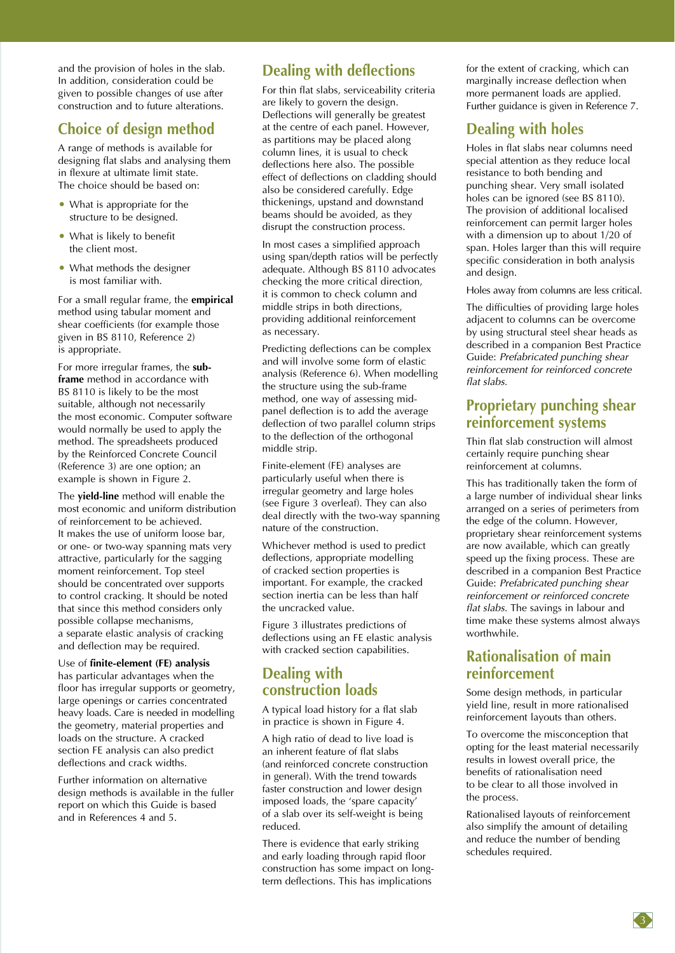and the provision of holes in the slab. In addition, consideration could be given to possible changes of use after construction and to future alterations.

## **Choice of design method**

A range of methods is available for designing flat slabs and analysing them in flexure at ultimate limit state. The choice should be based on:

- What is appropriate for the structure to be designed.
- What is likely to benefit the client most.
- What methods the designer is most familiar with.

For a small regular frame, the **empirical** method using tabular moment and shear coefficients (for example those given in BS 8110, Reference 2) is appropriate.

For more irregular frames, the **subframe** method in accordance with BS 8110 is likely to be the most suitable, although not necessarily the most economic. Computer software would normally be used to apply the method. The spreadsheets produced by the Reinforced Concrete Council (Reference 3) are one option; an example is shown in Figure 2.

The **yield-line** method will enable the most economic and uniform distribution of reinforcement to be achieved. It makes the use of uniform loose bar, or one- or two-way spanning mats very attractive, particularly for the sagging moment reinforcement. Top steel should be concentrated over supports to control cracking. It should be noted that since this method considers only possible collapse mechanisms, a separate elastic analysis of cracking and deflection may be required.

Use of **finite-element (FE) analysis** has particular advantages when the floor has irregular supports or geometry, large openings or carries concentrated heavy loads. Care is needed in modelling the geometry, material properties and loads on the structure. A cracked section FE analysis can also predict deflections and crack widths.

Further information on alternative design methods is available in the fuller report on which this Guide is based and in References 4 and 5.

# **Dealing with deflections**

For thin flat slabs, serviceability criteria are likely to govern the design. Deflections will generally be greatest at the centre of each panel. However, as partitions may be placed along column lines, it is usual to check deflections here also. The possible effect of deflections on cladding should also be considered carefully. Edge thickenings, upstand and downstand beams should be avoided, as they disrupt the construction process.

In most cases a simplified approach using span/depth ratios will be perfectly adequate. Although BS 8110 advocates checking the more critical direction, it is common to check column and middle strips in both directions, providing additional reinforcement as necessary.

Predicting deflections can be complex and will involve some form of elastic analysis (Reference 6). When modelling the structure using the sub-frame method, one way of assessing midpanel deflection is to add the average deflection of two parallel column strips to the deflection of the orthogonal middle strip.

Finite-element (FE) analyses are particularly useful when there is irregular geometry and large holes (see Figure 3 overleaf). They can also deal directly with the two-way spanning nature of the construction.

Whichever method is used to predict deflections, appropriate modelling of cracked section properties is important. For example, the cracked section inertia can be less than half the uncracked value.

Figure 3 illustrates predictions of deflections using an FE elastic analysis with cracked section capabilities.

# **Dealing with construction loads**

A typical load history for a flat slab in practice is shown in Figure 4.

A high ratio of dead to live load is an inherent feature of flat slabs (and reinforced concrete construction in general). With the trend towards faster construction and lower design imposed loads, the 'spare capacity' of a slab over its self-weight is being reduced.

There is evidence that early striking and early loading through rapid floor construction has some impact on longterm deflections. This has implications

for the extent of cracking, which can marginally increase deflection when more permanent loads are applied. Further guidance is given in Reference 7.

# **Dealing with holes**

Holes in flat slabs near columns need special attention as they reduce local resistance to both bending and punching shear. Very small isolated holes can be ignored (see BS 8110). The provision of additional localised reinforcement can permit larger holes with a dimension up to about 1/20 of span. Holes larger than this will require specific consideration in both analysis and design.

Holes away from columns are less critical.

The difficulties of providing large holes adjacent to columns can be overcome by using structural steel shear heads as described in a companion Best Practice Guide: *Prefabricated punching shear reinforcement for reinforced concrete flat slabs.*

# **Proprietary punching shear reinforcement systems**

Thin flat slab construction will almost certainly require punching shear reinforcement at columns.

This has traditionally taken the form of a large number of individual shear links arranged on a series of perimeters from the edge of the column. However, proprietary shear reinforcement systems are now available, which can greatly speed up the fixing process. These are described in a companion Best Practice Guide: *Prefabricated punching shear reinforcement or reinforced concrete flat slabs.* The savings in labour and time make these systems almost always worthwhile.

## **Rationalisation of main reinforcement**

Some design methods, in particular yield line, result in more rationalised reinforcement layouts than others.

To overcome the misconception that opting for the least material necessarily results in lowest overall price, the benefits of rationalisation need to be clear to all those involved in the process.

Rationalised layouts of reinforcement also simplify the amount of detailing and reduce the number of bending schedules required.